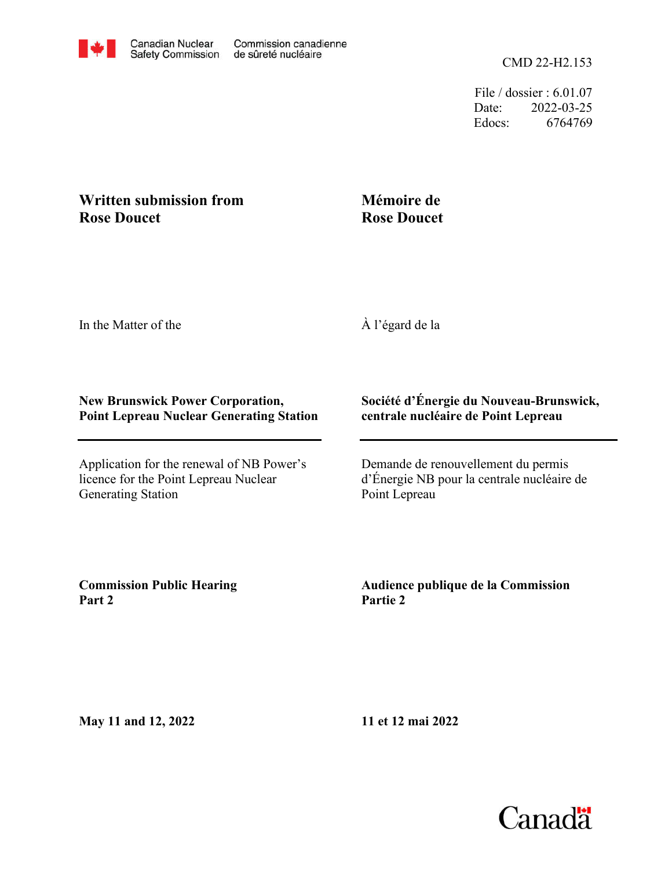

File / dossier : 6.01.07 Date: 2022-03-25 Edocs: 6764769

## **Rose Doucet Written submission from**

## **Mémoire de Rose Doucet**

In the Matter of the

À l'égard de la

## **New Brunswick Power Corporation, Point Lepreau Nuclear Generating Station**

Application for the renewal of NB Power's licence for the Point Lepreau Nuclear Generating Station

## **Société d'Énergie du Nouveau-Brunswick, centrale nucléaire de Point Lepreau**

Demande de renouvellement du permis d'Énergie NB pour la centrale nucléaire de Point Lepreau

**Commission Public Hearing Part 2**

**Audience publique de la Commission Partie 2**

**May 11 and 12, 2022**

**11 et 12 mai 2022**